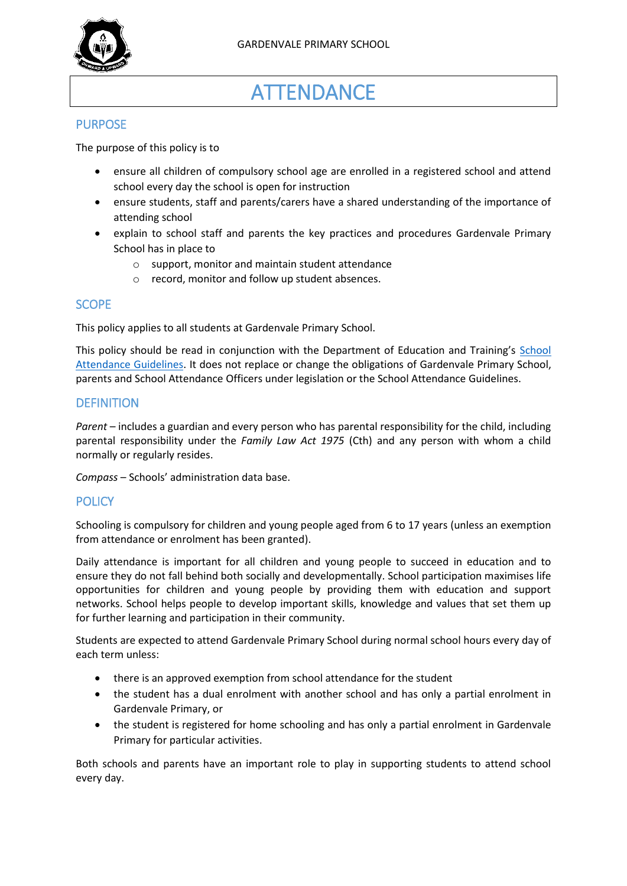

# **ATTENDANCE**

# PURPOSE

The purpose of this policy is to

- ensure all children of compulsory school age are enrolled in a registered school and attend school every day the school is open for instruction
- ensure students, staff and parents/carers have a shared understanding of the importance of attending school
- explain to school staff and parents the key practices and procedures Gardenvale Primary School has in place to
	- o support, monitor and maintain student attendance
	- o record, monitor and follow up student absences.

## **SCOPE**

This policy applies to all students at Gardenvale Primary School.

This policy should be read in conjunction with the Department of Education and Training's [School](https://www2.education.vic.gov.au/pal/attendance/guidance)  [Attendance Guidelines.](https://www2.education.vic.gov.au/pal/attendance/guidance) It does not replace or change the obligations of Gardenvale Primary School, parents and School Attendance Officers under legislation or the School Attendance Guidelines.

## **DEFINITION**

*Parent* – includes a guardian and every person who has parental responsibility for the child, including parental responsibility under the *Family Law Act 1975* (Cth) and any person with whom a child normally or regularly resides.

*Compass* – Schools' administration data base.

# **POLICY**

Schooling is compulsory for children and young people aged from 6 to 17 years (unless an exemption from attendance or enrolment has been granted).

Daily attendance is important for all children and young people to succeed in education and to ensure they do not fall behind both socially and developmentally. School participation maximises life opportunities for children and young people by providing them with education and support networks. School helps people to develop important skills, knowledge and values that set them up for further learning and participation in their community.

Students are expected to attend Gardenvale Primary School during normal school hours every day of each term unless:

- there is an approved exemption from school attendance for the student
- the student has a dual enrolment with another school and has only a partial enrolment in Gardenvale Primary, or
- the student is registered for home schooling and has only a partial enrolment in Gardenvale Primary for particular activities.

Both schools and parents have an important role to play in supporting students to attend school every day.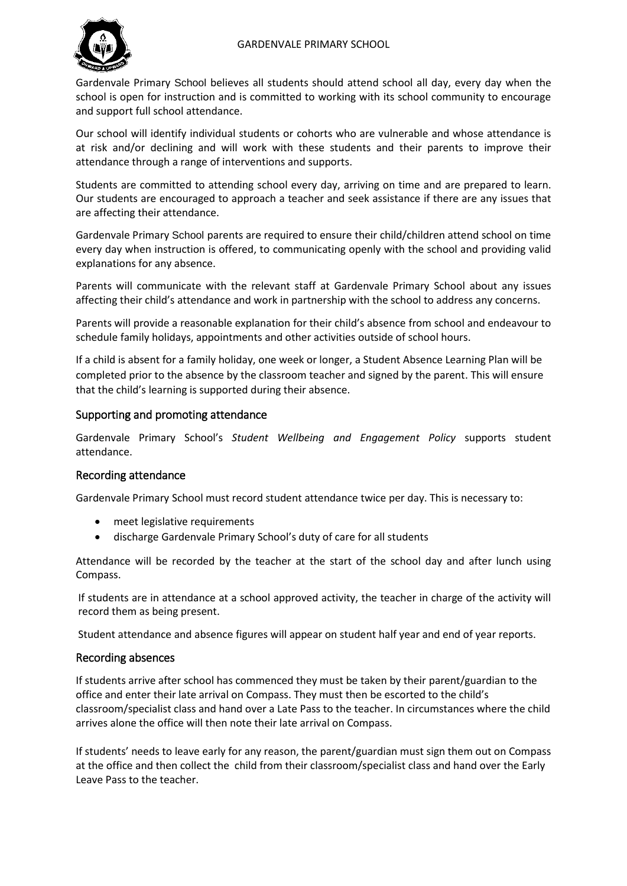

Gardenvale Primary School believes all students should attend school all day, every day when the school is open for instruction and is committed to working with its school community to encourage and support full school attendance.

Our school will identify individual students or cohorts who are vulnerable and whose attendance is at risk and/or declining and will work with these students and their parents to improve their attendance through a range of interventions and supports.

Students are committed to attending school every day, arriving on time and are prepared to learn. Our students are encouraged to approach a teacher and seek assistance if there are any issues that are affecting their attendance.

Gardenvale Primary School parents are required to ensure their child/children attend school on time every day when instruction is offered, to communicating openly with the school and providing valid explanations for any absence.

Parents will communicate with the relevant staff at Gardenvale Primary School about any issues affecting their child's attendance and work in partnership with the school to address any concerns.

Parents will provide a reasonable explanation for their child's absence from school and endeavour to schedule family holidays, appointments and other activities outside of school hours.

If a child is absent for a family holiday, one week or longer, a Student Absence Learning Plan will be completed prior to the absence by the classroom teacher and signed by the parent. This will ensure that the child's learning is supported during their absence.

## Supporting and promoting attendance

Gardenvale Primary School's *Student Wellbeing and Engagement Policy* supports student attendance.

#### Recording attendance

Gardenvale Primary School must record student attendance twice per day. This is necessary to:

- meet legislative requirements
- discharge Gardenvale Primary School's duty of care for all students

Attendance will be recorded by the teacher at the start of the school day and after lunch using Compass.

If students are in attendance at a school approved activity, the teacher in charge of the activity will record them as being present.

Student attendance and absence figures will appear on student half year and end of year reports.

## Recording absences

If students arrive after school has commenced they must be taken by their parent/guardian to the office and enter their late arrival on Compass. They must then be escorted to the child's classroom/specialist class and hand over a Late Pass to the teacher. In circumstances where the child arrives alone the office will then note their late arrival on Compass.

If students' needs to leave early for any reason, the parent/guardian must sign them out on Compass at the office and then collect the child from their classroom/specialist class and hand over the Early Leave Pass to the teacher.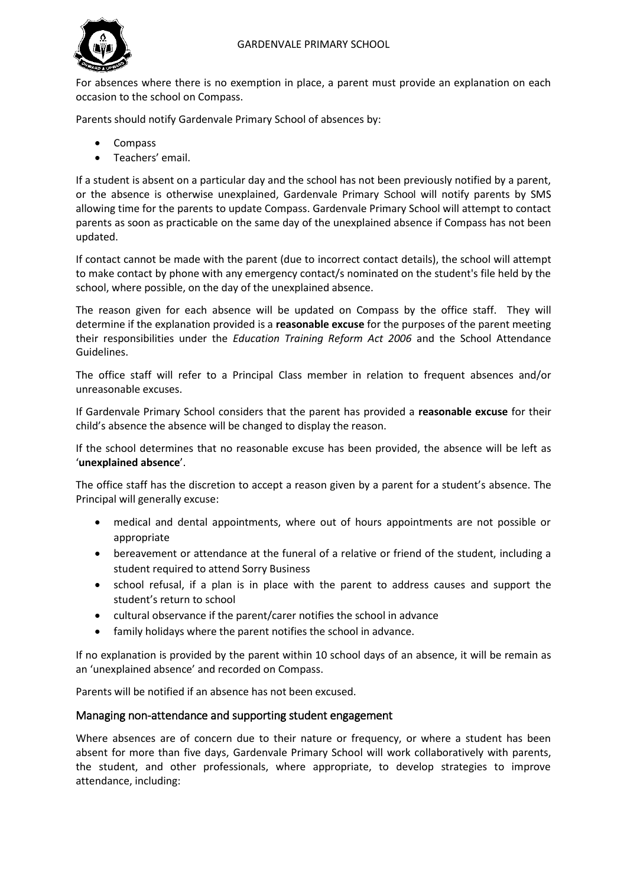

For absences where there is no exemption in place, a parent must provide an explanation on each occasion to the school on Compass.

Parents should notify Gardenvale Primary School of absences by:

- Compass
- Teachers' email.

If a student is absent on a particular day and the school has not been previously notified by a parent, or the absence is otherwise unexplained, Gardenvale Primary School will notify parents by SMS allowing time for the parents to update Compass. Gardenvale Primary School will attempt to contact parents as soon as practicable on the same day of the unexplained absence if Compass has not been updated.

If contact cannot be made with the parent (due to incorrect contact details), the school will attempt to make contact by phone with any emergency contact/s nominated on the student's file held by the school, where possible, on the day of the unexplained absence.

The reason given for each absence will be updated on Compass by the office staff. They will determine if the explanation provided is a **reasonable excuse** for the purposes of the parent meeting their responsibilities under the *Education Training Reform Act 2006* and the School Attendance Guidelines.

The office staff will refer to a Principal Class member in relation to frequent absences and/or unreasonable excuses.

If Gardenvale Primary School considers that the parent has provided a **reasonable excuse** for their child's absence the absence will be changed to display the reason.

If the school determines that no reasonable excuse has been provided, the absence will be left as '**unexplained absence**'.

The office staff has the discretion to accept a reason given by a parent for a student's absence. The Principal will generally excuse:

- medical and dental appointments, where out of hours appointments are not possible or appropriate
- bereavement or attendance at the funeral of a relative or friend of the student, including a student required to attend Sorry Business
- school refusal, if a plan is in place with the parent to address causes and support the student's return to school
- cultural observance if the parent/carer notifies the school in advance
- family holidays where the parent notifies the school in advance.

If no explanation is provided by the parent within 10 school days of an absence, it will be remain as an 'unexplained absence' and recorded on Compass.

Parents will be notified if an absence has not been excused.

#### Managing non-attendance and supporting student engagement

Where absences are of concern due to their nature or frequency, or where a student has been absent for more than five days, Gardenvale Primary School will work collaboratively with parents, the student, and other professionals, where appropriate, to develop strategies to improve attendance, including: